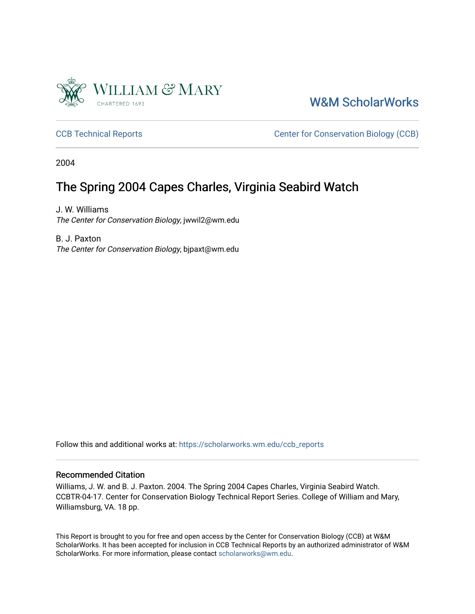

[W&M ScholarWorks](https://scholarworks.wm.edu/) 

[CCB Technical Reports](https://scholarworks.wm.edu/ccb_reports) **CCB** Technical Reports **CCB** Center for Conservation Biology (CCB)

2004

## The Spring 2004 Capes Charles, Virginia Seabird Watch

J. W. Williams The Center for Conservation Biology, jwwil2@wm.edu

B. J. Paxton The Center for Conservation Biology, bjpaxt@wm.edu

Follow this and additional works at: [https://scholarworks.wm.edu/ccb\\_reports](https://scholarworks.wm.edu/ccb_reports?utm_source=scholarworks.wm.edu%2Fccb_reports%2F401&utm_medium=PDF&utm_campaign=PDFCoverPages) 

#### Recommended Citation

Williams, J. W. and B. J. Paxton. 2004. The Spring 2004 Capes Charles, Virginia Seabird Watch. CCBTR-04-17. Center for Conservation Biology Technical Report Series. College of William and Mary, Williamsburg, VA. 18 pp.

This Report is brought to you for free and open access by the Center for Conservation Biology (CCB) at W&M ScholarWorks. It has been accepted for inclusion in CCB Technical Reports by an authorized administrator of W&M ScholarWorks. For more information, please contact [scholarworks@wm.edu.](mailto:scholarworks@wm.edu)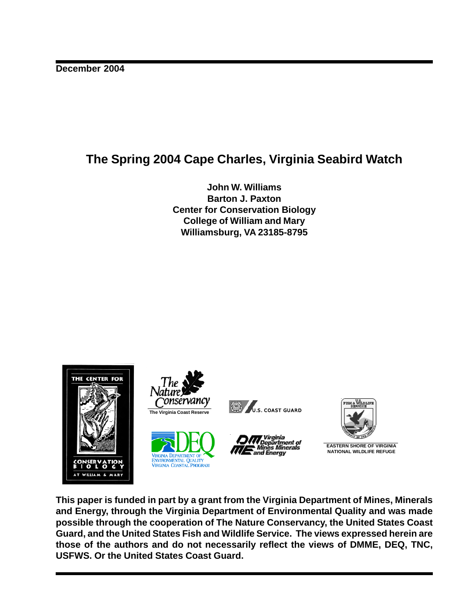## **The Spring 2004 Cape Charles, Virginia Seabird Watch**

**John W. Williams Barton J. Paxton Center for Conservation Biology College of William and Mary Williamsburg, VA 23185-8795**



**This paper is funded in part by a grant from the Virginia Department of Mines, Minerals and Energy, through the Virginia Department of Environmental Quality and was made possible through the cooperation of The Nature Conservancy, the United States Coast Guard, and the United States Fish and Wildlife Service. The views expressed herein are those of the authors and do not necessarily reflect the views of DMME, DEQ, TNC, USFWS. Or the United States Coast Guard.**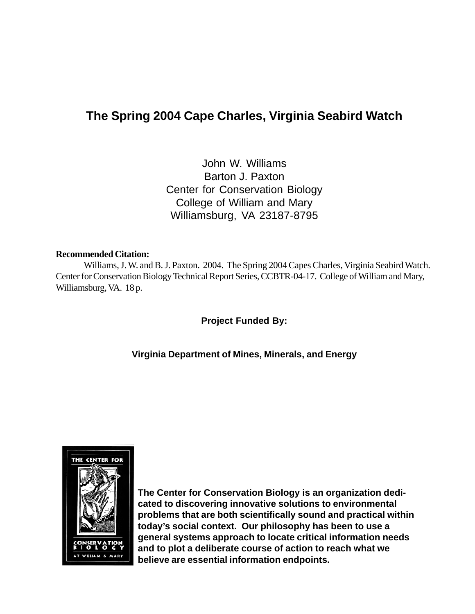## **The Spring 2004 Cape Charles, Virginia Seabird Watch**

John W. Williams Barton J. Paxton Center for Conservation Biology College of William and Mary Williamsburg, VA 23187-8795

#### **Recommended Citation:**

Williams, J. W. and B. J. Paxton. 2004. The Spring 2004 Capes Charles, Virginia Seabird Watch. Center for Conservation Biology Technical Report Series, CCBTR-04-17. College of William and Mary, Williamsburg, VA. 18 p.

**Project Funded By:**

**Virginia Department of Mines, Minerals, and Energy**



**The Center for Conservation Biology is an organization dedicated to discovering innovative solutions to environmental problems that are both scientifically sound and practical within today's social context. Our philosophy has been to use a general systems approach to locate critical information needs and to plot a deliberate course of action to reach what we believe are essential information endpoints.**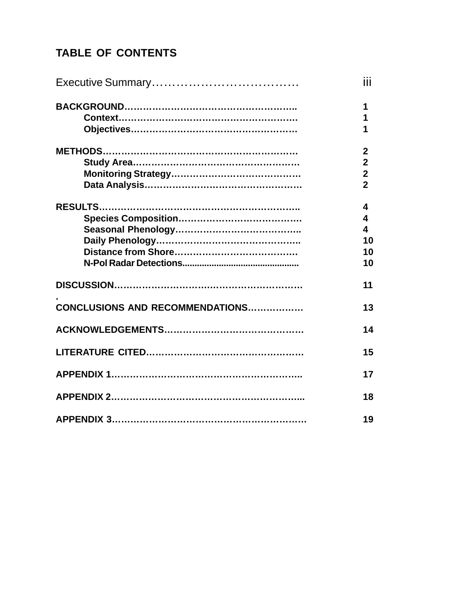# **TABLE OF CONTENTS**

|                                 | iii                                                                  |
|---------------------------------|----------------------------------------------------------------------|
|                                 | 1<br>1<br>1                                                          |
|                                 | $\mathbf{2}$<br>$\boldsymbol{2}$<br>$\overline{2}$<br>$\overline{2}$ |
|                                 | 4<br>4<br>$\overline{\mathbf{A}}$<br>10<br>10<br>10                  |
|                                 | 11                                                                   |
| CONCLUSIONS AND RECOMMENDATIONS | 13                                                                   |
|                                 | 14                                                                   |
|                                 | 15                                                                   |
|                                 | 17                                                                   |
|                                 | 18                                                                   |
|                                 | 19                                                                   |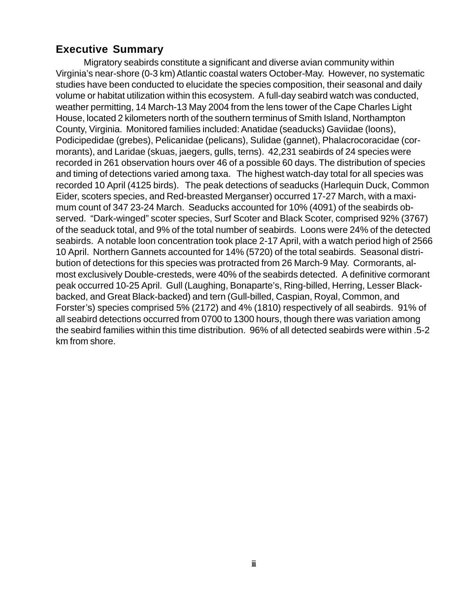### **Executive Summary**

Migratory seabirds constitute a significant and diverse avian community within Virginia's near-shore (0-3 km) Atlantic coastal waters October-May. However, no systematic studies have been conducted to elucidate the species composition, their seasonal and daily volume or habitat utilization within this ecosystem. A full-day seabird watch was conducted, weather permitting, 14 March-13 May 2004 from the lens tower of the Cape Charles Light House, located 2 kilometers north of the southern terminus of Smith Island, Northampton County, Virginia. Monitored families included: Anatidae (seaducks) Gaviidae (loons), Podicipedidae (grebes), Pelicanidae (pelicans), Sulidae (gannet), Phalacrocoracidae (cormorants), and Laridae (skuas, jaegers, gulls, terns). 42,231 seabirds of 24 species were recorded in 261 observation hours over 46 of a possible 60 days. The distribution of species and timing of detections varied among taxa. The highest watch-day total for all species was recorded 10 April (4125 birds). The peak detections of seaducks (Harlequin Duck, Common Eider, scoters species, and Red-breasted Merganser) occurred 17-27 March, with a maximum count of 347 23-24 March. Seaducks accounted for 10% (4091) of the seabirds observed. "Dark-winged" scoter species, Surf Scoter and Black Scoter, comprised 92% (3767) of the seaduck total, and 9% of the total number of seabirds. Loons were 24% of the detected seabirds. A notable loon concentration took place 2-17 April, with a watch period high of 2566 10 April. Northern Gannets accounted for 14% (5720) of the total seabirds. Seasonal distribution of detections for this species was protracted from 26 March-9 May. Cormorants, almost exclusively Double-cresteds, were 40% of the seabirds detected. A definitive cormorant peak occurred 10-25 April. Gull (Laughing, Bonaparte's, Ring-billed, Herring, Lesser Blackbacked, and Great Black-backed) and tern (Gull-billed, Caspian, Royal, Common, and Forster's) species comprised 5% (2172) and 4% (1810) respectively of all seabirds. 91% of all seabird detections occurred from 0700 to 1300 hours, though there was variation among the seabird families within this time distribution. 96% of all detected seabirds were within .5-2 km from shore.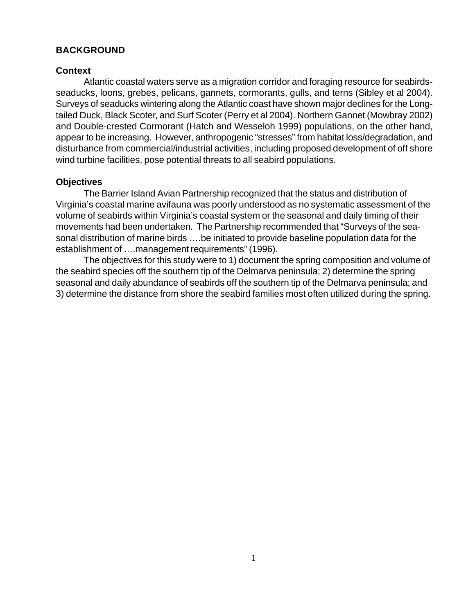#### **BACKGROUND**

#### **Context**

Atlantic coastal waters serve as a migration corridor and foraging resource for seabirdsseaducks, loons, grebes, pelicans, gannets, cormorants, gulls, and terns (Sibley et al 2004). Surveys of seaducks wintering along the Atlantic coast have shown major declines for the Longtailed Duck, Black Scoter, and Surf Scoter (Perry et al 2004). Northern Gannet (Mowbray 2002) and Double-crested Cormorant (Hatch and Wesseloh 1999) populations, on the other hand, appear to be increasing. However, anthropogenic "stresses" from habitat loss/degradation, and disturbance from commercial/industrial activities, including proposed development of off shore wind turbine facilities, pose potential threats to all seabird populations.

#### **Objectives**

The Barrier Island Avian Partnership recognized that the status and distribution of Virginia's coastal marine avifauna was poorly understood as no systematic assessment of the volume of seabirds within Virginia's coastal system or the seasonal and daily timing of their movements had been undertaken. The Partnership recommended that "Surveys of the seasonal distribution of marine birds ….be initiated to provide baseline population data for the establishment of ….management requirements" (1996).

The objectives for this study were to 1) document the spring composition and volume of the seabird species off the southern tip of the Delmarva peninsula; 2) determine the spring seasonal and daily abundance of seabirds off the southern tip of the Delmarva peninsula; and 3) determine the distance from shore the seabird families most often utilized during the spring.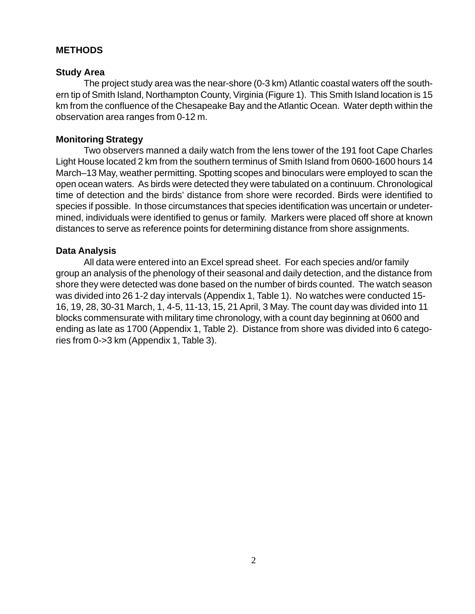#### **METHODS**

#### **Study Area**

The project study area was the near-shore (0-3 km) Atlantic coastal waters off the southern tip of Smith Island, Northampton County, Virginia (Figure 1). This Smith Island location is 15 km from the confluence of the Chesapeake Bay and the Atlantic Ocean. Water depth within the observation area ranges from 0-12 m.

#### **Monitoring Strategy**

Two observers manned a daily watch from the lens tower of the 191 foot Cape Charles Light House located 2 km from the southern terminus of Smith Island from 0600-1600 hours 14 March–13 May, weather permitting. Spotting scopes and binoculars were employed to scan the open ocean waters. As birds were detected they were tabulated on a continuum. Chronological time of detection and the birds' distance from shore were recorded. Birds were identified to species if possible. In those circumstances that species identification was uncertain or undetermined, individuals were identified to genus or family. Markers were placed off shore at known distances to serve as reference points for determining distance from shore assignments.

#### **Data Analysis**

All data were entered into an Excel spread sheet. For each species and/or family group an analysis of the phenology of their seasonal and daily detection, and the distance from shore they were detected was done based on the number of birds counted. The watch season was divided into 26 1-2 day intervals (Appendix 1, Table 1). No watches were conducted 15- 16, 19, 28, 30-31 March, 1, 4-5, 11-13, 15, 21 April, 3 May. The count day was divided into 11 blocks commensurate with military time chronology, with a count day beginning at 0600 and ending as late as 1700 (Appendix 1, Table 2). Distance from shore was divided into 6 categories from 0->3 km (Appendix 1, Table 3).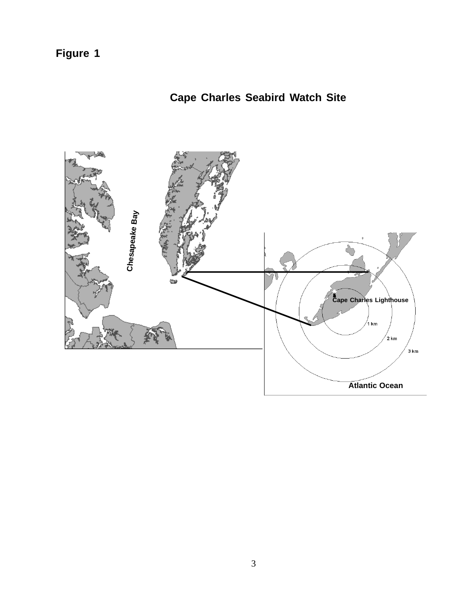**Figure 1**

# **Cape Charles Seabird Watch Site**

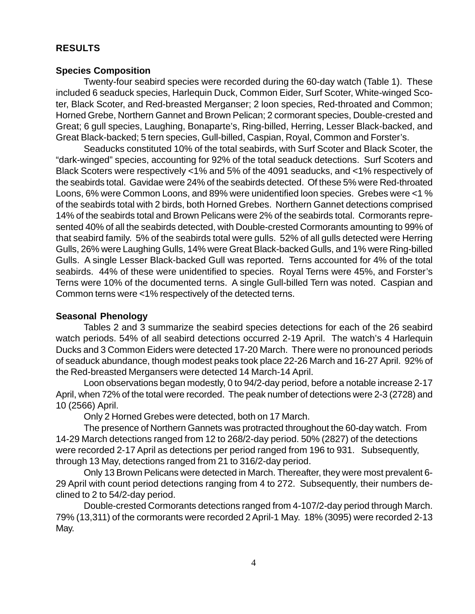### **RESULTS**

#### **Species Composition**

Twenty-four seabird species were recorded during the 60-day watch (Table 1). These included 6 seaduck species, Harlequin Duck, Common Eider, Surf Scoter, White-winged Scoter, Black Scoter, and Red-breasted Merganser; 2 loon species, Red-throated and Common; Horned Grebe, Northern Gannet and Brown Pelican; 2 cormorant species, Double-crested and Great; 6 gull species, Laughing, Bonaparte's, Ring-billed, Herring, Lesser Black-backed, and Great Black-backed; 5 tern species, Gull-billed, Caspian, Royal, Common and Forster's.

Seaducks constituted 10% of the total seabirds, with Surf Scoter and Black Scoter, the "dark-winged" species, accounting for 92% of the total seaduck detections. Surf Scoters and Black Scoters were respectively <1% and 5% of the 4091 seaducks, and <1% respectively of the seabirds total. Gavidae were 24% of the seabirds detected. Of these 5% were Red-throated Loons, 6% were Common Loons, and 89% were unidentified loon species. Grebes were <1 % of the seabirds total with 2 birds, both Horned Grebes. Northern Gannet detections comprised 14% of the seabirds total and Brown Pelicans were 2% of the seabirds total. Cormorants represented 40% of all the seabirds detected, with Double-crested Cormorants amounting to 99% of that seabird family. 5% of the seabirds total were gulls. 52% of all gulls detected were Herring Gulls, 26% were Laughing Gulls, 14% were Great Black-backed Gulls, and 1% were Ring-billed Gulls. A single Lesser Black-backed Gull was reported. Terns accounted for 4% of the total seabirds. 44% of these were unidentified to species. Royal Terns were 45%, and Forster's Terns were 10% of the documented terns. A single Gull-billed Tern was noted. Caspian and Common terns were <1% respectively of the detected terns.

### **Seasonal Phenology**

Tables 2 and 3 summarize the seabird species detections for each of the 26 seabird watch periods. 54% of all seabird detections occurred 2-19 April. The watch's 4 Harlequin Ducks and 3 Common Eiders were detected 17-20 March. There were no pronounced periods of seaduck abundance, though modest peaks took place 22-26 March and 16-27 April. 92% of the Red-breasted Mergansers were detected 14 March-14 April.

Loon observations began modestly, 0 to 94/2-day period, before a notable increase 2-17 April, when 72% of the total were recorded. The peak number of detections were 2-3 (2728) and 10 (2566) April.

Only 2 Horned Grebes were detected, both on 17 March.

The presence of Northern Gannets was protracted throughout the 60-day watch. From 14-29 March detections ranged from 12 to 268/2-day period. 50% (2827) of the detections were recorded 2-17 April as detections per period ranged from 196 to 931. Subsequently, through 13 May, detections ranged from 21 to 316/2-day period.

Only 13 Brown Pelicans were detected in March. Thereafter, they were most prevalent 6- 29 April with count period detections ranging from 4 to 272. Subsequently, their numbers declined to 2 to 54/2-day period.

Double-crested Cormorants detections ranged from 4-107/2-day period through March. 79% (13,311) of the cormorants were recorded 2 April-1 May. 18% (3095) were recorded 2-13 May.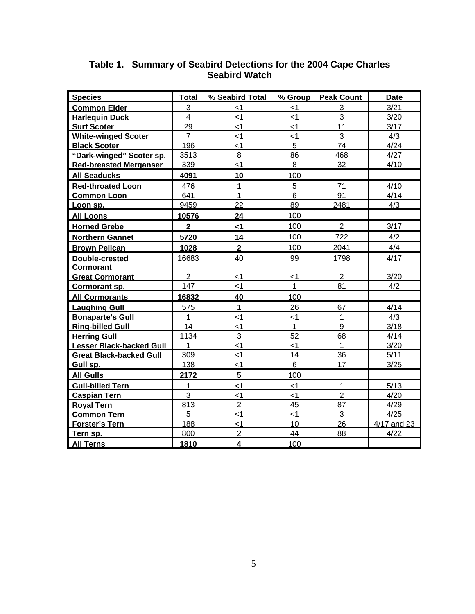| <b>Species</b>                  | Total                   | % Seabird Total | % Group      | <b>Peak Count</b> | <b>Date</b> |
|---------------------------------|-------------------------|-----------------|--------------|-------------------|-------------|
| <b>Common Eider</b>             | 3                       | <1              | $<$ 1        | 3                 | 3/21        |
| <b>Harlequin Duck</b>           | $\overline{4}$          | $\leq$ 1        | < 1          | 3                 | 3/20        |
| <b>Surf Scoter</b>              | 29                      | $\leq$ 1        | $<$ 1        | 11                | 3/17        |
| <b>White-winged Scoter</b>      | $\overline{7}$          | $\leq$ 1        | $\leq$ 1     | 3                 | 4/3         |
| <b>Black Scoter</b>             | 196                     | $<$ 1           | 5            | 74                | 4/24        |
| "Dark-winged" Scoter sp.        | 3513                    | 8               | 86           | 468               | 4/27        |
| <b>Red-breasted Merganser</b>   | 339                     | $\leq$ 1        | 8            | 32                | 4/10        |
| <b>All Seaducks</b>             | 4091                    | 10              | 100          |                   |             |
| <b>Red-throated Loon</b>        | 476                     | $\mathbf{1}$    | 5            | 71                | 4/10        |
| <b>Common Loon</b>              | 641                     | $\mathbf{1}$    | 6            | 91                | 4/14        |
| Loon sp.                        | 9459                    | 22              | 89           | 2481              | 4/3         |
| <b>All Loons</b>                | 10576                   | 24              | 100          |                   |             |
| <b>Horned Grebe</b>             | $\overline{\mathbf{2}}$ | <1              | 100          | $\overline{2}$    | 3/17        |
| <b>Northern Gannet</b>          | 5720                    | 14              | 100          | 722               | 4/2         |
| <b>Brown Pelican</b>            | 1028                    | $\mathbf{2}$    | 100          | 2041              | 4/4         |
| <b>Double-crested</b>           | 16683                   | 40              | 99           | 1798              | 4/17        |
| <b>Cormorant</b>                |                         |                 |              |                   |             |
| <b>Great Cormorant</b>          | 2                       | $\leq$ 1        | $<$ 1        | $\overline{2}$    | 3/20        |
| Cormorant sp.                   | 147                     | $\leq$ 1        | $\mathbf{1}$ | 81                | 4/2         |
| <b>All Cormorants</b>           | 16832                   | 40              | 100          |                   |             |
| <b>Laughing Gull</b>            | 575                     | 1               | 26           | 67                | 4/14        |
| <b>Bonaparte's Gull</b>         | 1                       | $\leq$ 1        | $\leq$ 1     | $\mathbf{1}$      | 4/3         |
| <b>Ring-billed Gull</b>         | 14                      | $<$ 1           | 1            | 9                 | 3/18        |
| <b>Herring Gull</b>             | 1134                    | 3               | 52           | 68                | 4/14        |
| <b>Lesser Black-backed Gull</b> | 1                       | $\leq$ 1        | $\leq$ 1     | $\mathbf{1}$      | 3/20        |
| <b>Great Black-backed Gull</b>  | 309                     | $\leq$ 1        | 14           | 36                | 5/11        |
| Gull sp.                        | 138                     | $<$ 1           | 6            | 17                | 3/25        |
| <b>All Gulls</b>                | 2172                    | $5\overline{)}$ | 100          |                   |             |
| <b>Gull-billed Tern</b>         | $\mathbf{1}$            | $\leq$ 1        | < 1          | $\mathbf{1}$      | 5/13        |
| <b>Caspian Tern</b>             | 3                       | <1              | $<$ 1        | $\overline{2}$    | 4/20        |
| <b>Royal Tern</b>               | 813                     | $\overline{2}$  | 45           | 87                | 4/29        |
| <b>Common Tern</b>              | 5                       | $\leq$ 1        | < 1          | 3                 | 4/25        |
| <b>Forster's Tern</b>           | 188                     | $\leq$ 1        | 10           | 26                | 4/17 and 23 |
| Tern sp.                        | 800                     | $\overline{2}$  | 44           | 88                | 4/22        |
| <b>All Terns</b>                | 1810                    | 4               | 100          |                   |             |

#### **Table 1. Summary of Seabird Detections for the 2004 Cape Charles Seabird Watch**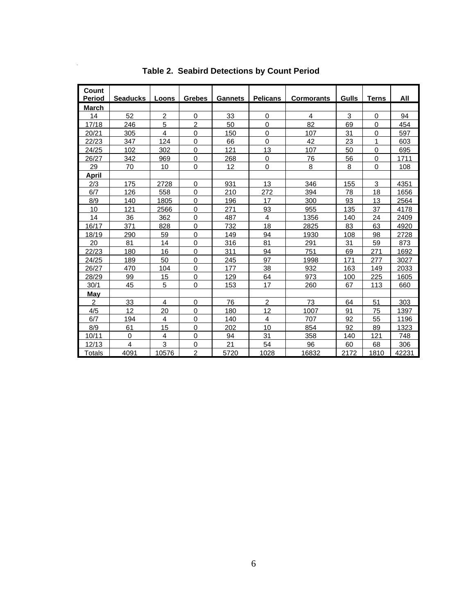| Count                         |                 |                |                |                |                 |                   |              |              |       |
|-------------------------------|-----------------|----------------|----------------|----------------|-----------------|-------------------|--------------|--------------|-------|
| <b>Period</b><br><b>March</b> | <b>Seaducks</b> | Loons          | <b>Grebes</b>  | <b>Gannets</b> | <b>Pelicans</b> | <b>Cormorants</b> | <b>Gulls</b> | <u>Terns</u> | All   |
| 14                            | 52              | $\overline{c}$ | $\mathbf 0$    | 33             | 0               | 4                 | 3            | 0            | 94    |
| 17/18                         | 246             | 5              | $\overline{c}$ | 50             | 0               | 82                | 69           | 0            | 454   |
| 20/21                         | 305             | 4              | 0              | 150            | 0               | 107               | 31           | 0            | 597   |
| 22/23                         | 347             | 124            | 0              | 66             | $\mathbf 0$     | 42                | 23           | 1            | 603   |
| 24/25                         | 102             | 302            | 0              | 121            | 13              | 107               | 50           | 0            | 695   |
| 26/27                         | 342             | 969            | 0              | 268            | 0               | 76                | 56           | 0            | 1711  |
| 29                            | 70              | 10             | 0              | 12             | $\mathbf 0$     | 8                 | 8            | $\mathbf 0$  | 108   |
| April                         |                 |                |                |                |                 |                   |              |              |       |
| 2/3                           | 175             | 2728           | 0              | 931            | 13              | 346               | 155          | 3            | 4351  |
| 6/7                           | 126             | 558            | 0              | 210            | 272             | 394               | 78           | 18           | 1656  |
| 8/9                           | 140             | 1805           | 0              | 196            | 17              | 300               | 93           | 13           | 2564  |
| 10                            | 121             | 2566           | 0              | 271            | 93              | 955               | 135          | 37           | 4178  |
| 14                            | 36              | 362            | 0              | 487            | $\overline{4}$  | 1356              | 140          | 24           | 2409  |
| 16/17                         | 371             | 828            | 0              | 732            | 18              | 2825              | 83           | 63           | 4920  |
| 18/19                         | 290             | 59             | 0              | 149            | 94              | 1930              | 108          | 98           | 2728  |
| 20                            | 81              | 14             | 0              | 316            | 81              | 291               | 31           | 59           | 873   |
| 22/23                         | 180             | 16             | 0              | 311            | 94              | 751               | 69           | 271          | 1692  |
| 24/25                         | 189             | 50             | $\mathbf 0$    | 245            | 97              | 1998              | 171          | 277          | 3027  |
| 26/27                         | 470             | 104            | 0              | 177            | 38              | 932               | 163          | 149          | 2033  |
| 28/29                         | 99              | 15             | 0              | 129            | 64              | 973               | 100          | 225          | 1605  |
| 30/1                          | 45              | 5              | $\mathsf 0$    | 153            | 17              | 260               | 67           | 113          | 660   |
| May                           |                 |                |                |                |                 |                   |              |              |       |
| $\overline{2}$                | 33              | 4              | 0              | 76             | $\overline{2}$  | 73                | 64           | 51           | 303   |
| 4/5                           | 12              | 20             | 0              | 180            | 12              | 1007              | 91           | 75           | 1397  |
| 6/7                           | 194             | 4              | 0              | 140            | 4               | 707               | 92           | 55           | 1196  |
| 8/9                           | 61              | 15             | 0              | 202            | 10              | 854               | 92           | 89           | 1323  |
| 10/11                         | 0               | 4              | 0              | 94             | 31              | 358               | 140          | 121          | 748   |
| 12/13                         | 4               | 3              | 0              | 21             | 54              | 96                | 60           | 68           | 306   |
| <b>Totals</b>                 | 4091            | 10576          | $\overline{2}$ | 5720           | 1028            | 16832             | 2172         | 1810         | 42231 |

**Table 2. Seabird Detections by Count Period** 

 $\bar{z}$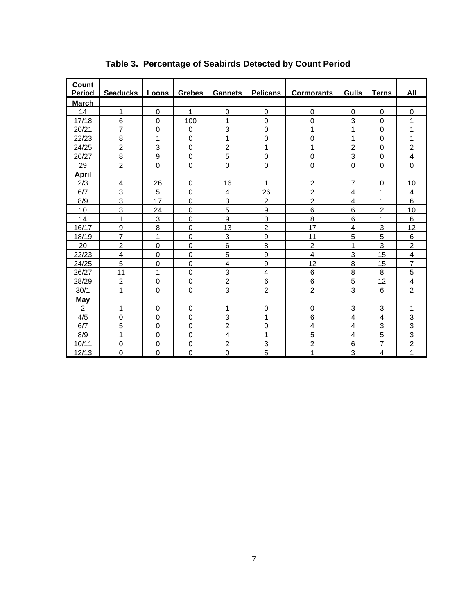| Count<br><b>Period</b> | Seaducks   Loons   Grebes   Gannets   Pelicans |                |                  |                |                | <b>Cormorants</b>       | Gulls          | <b>Terns</b>   | All            |
|------------------------|------------------------------------------------|----------------|------------------|----------------|----------------|-------------------------|----------------|----------------|----------------|
| <b>March</b>           |                                                |                |                  |                |                |                         |                |                |                |
| 14                     | 1                                              | 0              | 1                | 0              | 0              | 0                       | 0              | 0              | 0              |
| 17/18                  | $6\phantom{1}$                                 | 0              | 100              | 1              | $\mathbf 0$    | $\mathbf 0$             | 3              | $\mathbf 0$    | 1              |
| 20/21                  | $\overline{7}$                                 | $\Omega$       | $\Omega$         | 3              | $\Omega$       | 1                       | 1              | $\overline{0}$ | 1              |
| 22/23                  | 8                                              | 1              | 0                | 1              | $\mathbf 0$    | $\boldsymbol{0}$        | 1              | 0              | 1              |
| 24/25                  | $\overline{c}$                                 | 3              | $\mathbf 0$      | $\overline{2}$ | 1              | 1                       | $\overline{2}$ | $\overline{0}$ | $\overline{2}$ |
| 26/27                  | 8                                              | 9              | $\mathbf 0$      | 5              | $\mathbf 0$    | 0                       | 3              | 0              | $\overline{4}$ |
| 29                     | $\overline{c}$                                 | 0              | $\mathbf 0$      | $\mathbf 0$    | $\mathbf 0$    | $\mathbf 0$             | $\mathbf 0$    | $\mathbf 0$    | $\mathbf 0$    |
| <b>April</b>           |                                                |                |                  |                |                |                         |                |                |                |
| 2/3                    | 4                                              | 26             | 0                | 16             | 1              | $\overline{c}$          | $\overline{7}$ | $\mathbf 0$    | 10             |
| 6/7                    | 3                                              | 5              | $\mathbf 0$      | 4              | 26             | $\overline{2}$          | 4              | 1              | 4              |
| 8/9                    | 3                                              | 17             | 0                | 3              | $\overline{c}$ | $\overline{2}$          | 4              | 1              | 6              |
| 10                     | 3                                              | 24             | $\boldsymbol{0}$ | 5              | 9              | 6                       | 6              | $\overline{2}$ | 10             |
| 14                     | 1                                              | 3              | $\mathbf 0$      | 9              | $\mathbf 0$    | 8                       | 6              | $\mathbf 1$    | 6              |
| 16/17                  | 9                                              | 8              | $\mathbf 0$      | 13             | 2              | 17                      | 4              | 3              | 12             |
| 18/19                  | $\overline{7}$                                 | 1              | $\mathbf 0$      | 3              | 9              | 11                      | 5              | 5              | 6              |
| 20                     | $\overline{2}$                                 | $\overline{0}$ | $\mathbf 0$      | 6              | 8              | $\overline{2}$          | 1              | 3              | $\overline{c}$ |
| 22/23                  | 4                                              | 0              | $\mathbf 0$      | 5              | 9              | $\overline{\mathbf{4}}$ | 3              | 15             | 4              |
| 24/25                  | 5                                              | 0              | 0                | 4              | 9              | 12                      | 8              | 15             | $\overline{7}$ |
| 26/27                  | 11                                             | 1              | $\mathbf 0$      | 3              | $\overline{4}$ | 6                       | 8              | 8              | 5              |
| 28/29                  | $\overline{2}$                                 | 0              | $\mathbf 0$      | $\overline{2}$ | $6\phantom{1}$ | 6                       | 5              | 12             | $\overline{4}$ |
| 30/1                   | 1                                              | 0              | $\Omega$         | 3              | $\overline{2}$ | $\overline{2}$          | 3              | 6              | $\overline{2}$ |
| May                    |                                                |                |                  |                |                |                         |                |                |                |
| $\overline{2}$         | 1                                              | 0              | 0                | 1              | $\mathbf 0$    | 0                       | 3              | 3              | 1              |
| 4/5                    | 0                                              | 0              | 0                | 3              | 1              | 6                       | 4              | 4              | 3              |
| 6/7                    | 5                                              | 0              | $\Omega$         | $\overline{c}$ | $\mathbf 0$    | $\overline{\mathbf{4}}$ | 4              | 3              | 3              |
| 8/9                    | 1                                              | 0              | 0                | 4              | 1              | 5                       | 4              | 5              | 3              |
| 10/11                  | $\Omega$                                       | 0              | $\mathbf 0$      | $\overline{c}$ | 3              | $\overline{c}$          | 6              | $\overline{7}$ | $\overline{c}$ |
| 12/13                  | $\Omega$                                       | 0              | $\Omega$         | $\overline{0}$ | 5              | 1                       | 3              | 4              | $\mathbf{1}$   |

**Table 3. Percentage of Seabirds Detected by Count Period** 

l,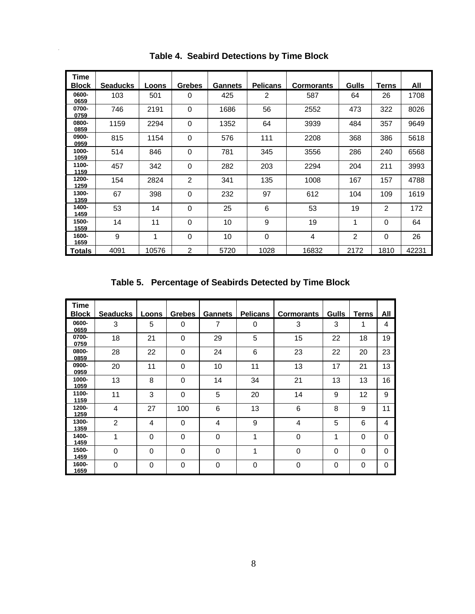| Time          |                 |       |                |                |                 |                   |                |             |       |
|---------------|-----------------|-------|----------------|----------------|-----------------|-------------------|----------------|-------------|-------|
| <b>Block</b>  | <b>Seaducks</b> | Loons | <b>Grebes</b>  | <b>Gannets</b> | <b>Pelicans</b> | <b>Cormorants</b> | Gulls          | Terns       | All   |
| 0600-<br>0659 | 103             | 501   | 0              | 425            | 2               | 587               | 64             | 26          | 1708  |
| 0700-<br>0759 | 746             | 2191  | $\Omega$       | 1686           | 56              | 2552              | 473            | 322         | 8026  |
| 0800-<br>0859 | 1159            | 2294  | $\Omega$       | 1352           | 64              | 3939              | 484            | 357         | 9649  |
| 0900-<br>0959 | 815             | 1154  | $\mathbf 0$    | 576            | 111             | 2208              | 368            | 386         | 5618  |
| 1000-<br>1059 | 514             | 846   | $\mathbf 0$    | 781            | 345             | 3556              | 286            | 240         | 6568  |
| 1100-<br>1159 | 457             | 342   | $\mathbf 0$    | 282            | 203             | 2294              | 204            | 211         | 3993  |
| 1200-<br>1259 | 154             | 2824  | $\overline{2}$ | 341            | 135             | 1008              | 167            | 157         | 4788  |
| 1300-<br>1359 | 67              | 398   | $\Omega$       | 232            | 97              | 612               | 104            | 109         | 1619  |
| 1400-<br>1459 | 53              | 14    | $\mathbf 0$    | 25             | 6               | 53                | 19             | 2           | 172   |
| 1500-<br>1559 | 14              | 11    | $\mathbf 0$    | 10             | 9               | 19                | 1              | $\mathbf 0$ | 64    |
| 1600-<br>1659 | 9               | 1     | 0              | 10             | 0               | 4                 | $\overline{2}$ | $\mathbf 0$ | 26    |
| <b>Totals</b> | 4091            | 10576 | $\overline{2}$ | 5720           | 1028            | 16832             | 2172           | 1810        | 42231 |

 **Table 4. Seabird Detections by Time Block** 

 $\hat{\boldsymbol{\beta}}$ 

 **Table 5. Percentage of Seabirds Detected by Time Block**

| <b>Time</b>   |                 |             |               |                |                 |                   |       |              |                |
|---------------|-----------------|-------------|---------------|----------------|-----------------|-------------------|-------|--------------|----------------|
| <b>Block</b>  | <b>Seaducks</b> | Loons       | <b>Grebes</b> | <b>Gannets</b> | <b>Pelicans</b> | <b>Cormorants</b> | Gulls | <b>Terns</b> | All            |
| 0600-<br>0659 | 3               | 5           | 0             | 7              | 0               | 3                 | 3     | 1            | 4              |
| 0700-<br>0759 | 18              | 21          | 0             | 29             | 5               | 15                | 22    | 18           | 19             |
| 0800-<br>0859 | 28              | 22          | 0             | 24             | 6               | 23                | 22    | 20           | 23             |
| 0900-<br>0959 | 20              | 11          | 0             | 10             | 11              | 13                | 17    | 21           | 13             |
| 1000-<br>1059 | 13              | 8           | 0             | 14             | 34              | 21                | 13    | 13           | 16             |
| 1100-<br>1159 | 11              | 3           | $\Omega$      | 5              | 20              | 14                | 9     | 12           | 9              |
| 1200-<br>1259 | 4               | 27          | 100           | 6              | 13              | 6                 | 8     | 9            | 11             |
| 1300-<br>1359 | 2               | 4           | 0             | 4              | 9               | 4                 | 5     | 6            | $\overline{4}$ |
| 1400-<br>1459 | 1               | $\Omega$    | 0             | $\Omega$       | 1               | 0                 | 1     | 0            | $\Omega$       |
| 1500-<br>1459 | $\Omega$        | $\Omega$    | 0             | $\Omega$       | 1               | 0                 | 0     | 0            | $\Omega$       |
| 1600-<br>1659 | $\Omega$        | $\mathbf 0$ | 0             | $\Omega$       | $\Omega$        | 0                 | 0     | 0            | $\Omega$       |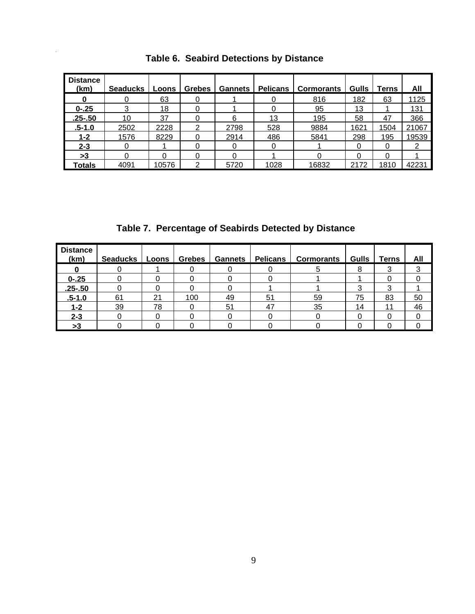| <b>Distance</b><br>(km) | <b>Seaducks</b> | Loons | <b>Grebes</b> | <b>Gannets</b> | <b>Pelicans</b> | <b>Cormorants</b> | <b>Gulls</b> | Terns | All   |
|-------------------------|-----------------|-------|---------------|----------------|-----------------|-------------------|--------------|-------|-------|
|                         |                 | 63    |               |                |                 | 816               | 182          | 63    | 1125  |
| $0 - 25$                | 3               | 18    | 0             |                |                 | 95                | 13           |       | 131   |
| $.25 - .50$             | 10              | 37    |               | 6              | 13              | 195               | 58           | 47    | 366   |
| <u>.5-1.0</u>           | 2502            | 2228  |               | 2798           | 528             | 9884              | 1621         | 1504  | 21067 |
| 1-2                     | 1576            | 8229  |               | 2914           | 486             | 5841              | 298          | 195   | 19539 |
| $2 - 3$                 | 0               |       | Ω             | O              | 0               |                   | 0            | 0     | 2     |
| >3                      | 0               | 0     | 0             | 0              |                 | 0                 | 0            | 0     |       |
| <b>Totals</b>           | 4091            | 10576 | ⌒             | 5720           | 1028            | 16832             | 2172         | 1810  | 42231 |

 **Table 6. Seabird Detections by Distance** 

 **Table 7. Percentage of Seabirds Detected by Distance**

| <b>Distance</b><br>(km) | Seaducks | Loons J | <b>Grebes</b> | <b>Gannets</b> | <b>Pelicans</b> | <b>Cormorants</b> |    | Gulls   Terns | All |
|-------------------------|----------|---------|---------------|----------------|-----------------|-------------------|----|---------------|-----|
|                         |          |         |               |                |                 |                   |    |               |     |
| $0 - 25$                |          |         |               |                |                 |                   |    |               |     |
| $.25 - .50$             |          |         |               |                |                 |                   |    |               |     |
| $.5 - 1.0$              | 61       | 21      | 100           | 49             | 5 <sup>1</sup>  | 59                | 75 | 83            | 50  |
| $1 - 2$                 | 39       | 78      |               | 51             | 47              | 35                | 14 | 11            | 46  |
| $2 - 3$                 |          |         |               |                |                 |                   |    |               |     |
| >3                      |          |         |               |                |                 |                   |    |               |     |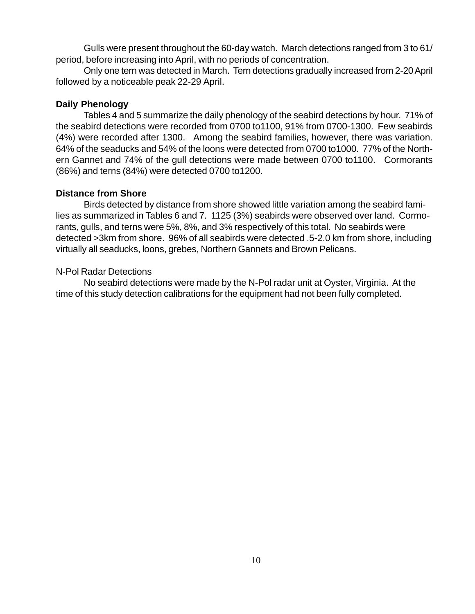Gulls were present throughout the 60-day watch. March detections ranged from 3 to 61/ period, before increasing into April, with no periods of concentration.

Only one tern was detected in March. Tern detections gradually increased from 2-20 April followed by a noticeable peak 22-29 April.

### **Daily Phenology**

Tables 4 and 5 summarize the daily phenology of the seabird detections by hour. 71% of the seabird detections were recorded from 0700 to1100, 91% from 0700-1300. Few seabirds (4%) were recorded after 1300. Among the seabird families, however, there was variation. 64% of the seaducks and 54% of the loons were detected from 0700 to1000. 77% of the Northern Gannet and 74% of the gull detections were made between 0700 to1100. Cormorants (86%) and terns (84%) were detected 0700 to1200.

### **Distance from Shore**

Birds detected by distance from shore showed little variation among the seabird families as summarized in Tables 6 and 7. 1125 (3%) seabirds were observed over land. Cormorants, gulls, and terns were 5%, 8%, and 3% respectively of this total. No seabirds were detected >3km from shore. 96% of all seabirds were detected .5-2.0 km from shore, including virtually all seaducks, loons, grebes, Northern Gannets and Brown Pelicans.

### N-Pol Radar Detections

No seabird detections were made by the N-Pol radar unit at Oyster, Virginia. At the time of this study detection calibrations for the equipment had not been fully completed.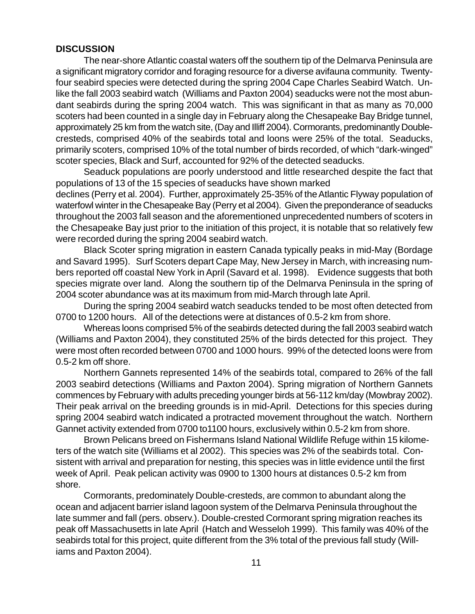#### **DISCUSSION**

The near-shore Atlantic coastal waters off the southern tip of the Delmarva Peninsula are a significant migratory corridor and foraging resource for a diverse avifauna community. Twentyfour seabird species were detected during the spring 2004 Cape Charles Seabird Watch. Unlike the fall 2003 seabird watch (Williams and Paxton 2004) seaducks were not the most abundant seabirds during the spring 2004 watch. This was significant in that as many as 70,000 scoters had been counted in a single day in February along the Chesapeake Bay Bridge tunnel, approximately 25 km from the watch site, (Day and Illiff 2004). Cormorants, predominantly Doublecresteds, comprised 40% of the seabirds total and loons were 25% of the total. Seaducks, primarily scoters, comprised 10% of the total number of birds recorded, of which "dark-winged" scoter species, Black and Surf, accounted for 92% of the detected seaducks.

Seaduck populations are poorly understood and little researched despite the fact that populations of 13 of the 15 species of seaducks have shown marked

declines (Perry et al. 2004). Further, approximately 25-35% of the Atlantic Flyway population of waterfowl winter in the Chesapeake Bay (Perry et al 2004). Given the preponderance of seaducks throughout the 2003 fall season and the aforementioned unprecedented numbers of scoters in the Chesapeake Bay just prior to the initiation of this project, it is notable that so relatively few were recorded during the spring 2004 seabird watch.

Black Scoter spring migration in eastern Canada typically peaks in mid-May (Bordage and Savard 1995). Surf Scoters depart Cape May, New Jersey in March, with increasing numbers reported off coastal New York in April (Savard et al. 1998). Evidence suggests that both species migrate over land. Along the southern tip of the Delmarva Peninsula in the spring of 2004 scoter abundance was at its maximum from mid-March through late April.

During the spring 2004 seabird watch seaducks tended to be most often detected from 0700 to 1200 hours. All of the detections were at distances of 0.5-2 km from shore.

Whereas loons comprised 5% of the seabirds detected during the fall 2003 seabird watch (Williams and Paxton 2004), they constituted 25% of the birds detected for this project. They were most often recorded between 0700 and 1000 hours. 99% of the detected loons were from 0.5-2 km off shore.

Northern Gannets represented 14% of the seabirds total, compared to 26% of the fall 2003 seabird detections (Williams and Paxton 2004). Spring migration of Northern Gannets commences by February with adults preceding younger birds at 56-112 km/day (Mowbray 2002). Their peak arrival on the breeding grounds is in mid-April. Detections for this species during spring 2004 seabird watch indicated a protracted movement throughout the watch. Northern Gannet activity extended from 0700 to1100 hours, exclusively within 0.5-2 km from shore.

Brown Pelicans breed on Fishermans Island National Wildlife Refuge within 15 kilometers of the watch site (Williams et al 2002). This species was 2% of the seabirds total. Consistent with arrival and preparation for nesting, this species was in little evidence until the first week of April. Peak pelican activity was 0900 to 1300 hours at distances 0.5-2 km from shore.

Cormorants, predominately Double-cresteds, are common to abundant along the ocean and adjacent barrier island lagoon system of the Delmarva Peninsula throughout the late summer and fall (pers. observ.). Double-crested Cormorant spring migration reaches its peak off Massachusetts in late April (Hatch and Wesseloh 1999). This family was 40% of the seabirds total for this project, quite different from the 3% total of the previous fall study (Williams and Paxton 2004).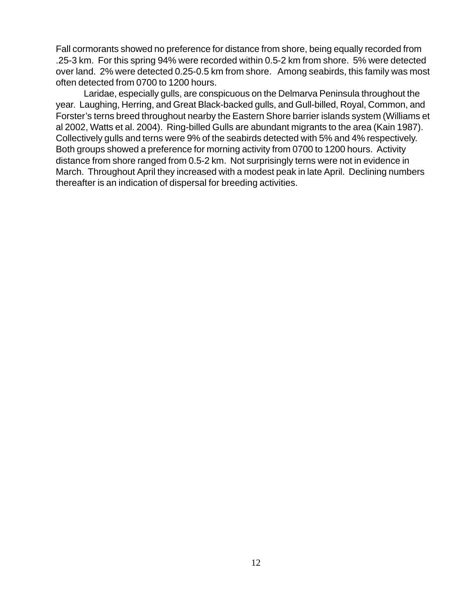Fall cormorants showed no preference for distance from shore, being equally recorded from .25-3 km. For this spring 94% were recorded within 0.5-2 km from shore. 5% were detected over land. 2% were detected 0.25-0.5 km from shore. Among seabirds, this family was most often detected from 0700 to 1200 hours.

Laridae, especially gulls, are conspicuous on the Delmarva Peninsula throughout the year. Laughing, Herring, and Great Black-backed gulls, and Gull-billed, Royal, Common, and Forster's terns breed throughout nearby the Eastern Shore barrier islands system (Williams et al 2002, Watts et al. 2004). Ring-billed Gulls are abundant migrants to the area (Kain 1987). Collectively gulls and terns were 9% of the seabirds detected with 5% and 4% respectively. Both groups showed a preference for morning activity from 0700 to 1200 hours. Activity distance from shore ranged from 0.5-2 km. Not surprisingly terns were not in evidence in March. Throughout April they increased with a modest peak in late April. Declining numbers thereafter is an indication of dispersal for breeding activities.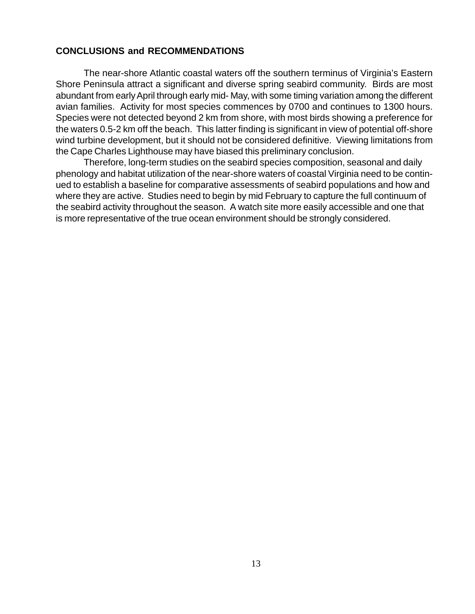#### **CONCLUSIONS and RECOMMENDATIONS**

The near-shore Atlantic coastal waters off the southern terminus of Virginia's Eastern Shore Peninsula attract a significant and diverse spring seabird community. Birds are most abundant from early April through early mid- May, with some timing variation among the different avian families. Activity for most species commences by 0700 and continues to 1300 hours. Species were not detected beyond 2 km from shore, with most birds showing a preference for the waters 0.5-2 km off the beach. This latter finding is significant in view of potential off-shore wind turbine development, but it should not be considered definitive. Viewing limitations from the Cape Charles Lighthouse may have biased this preliminary conclusion.

Therefore, long-term studies on the seabird species composition, seasonal and daily phenology and habitat utilization of the near-shore waters of coastal Virginia need to be continued to establish a baseline for comparative assessments of seabird populations and how and where they are active. Studies need to begin by mid February to capture the full continuum of the seabird activity throughout the season. A watch site more easily accessible and one that is more representative of the true ocean environment should be strongly considered.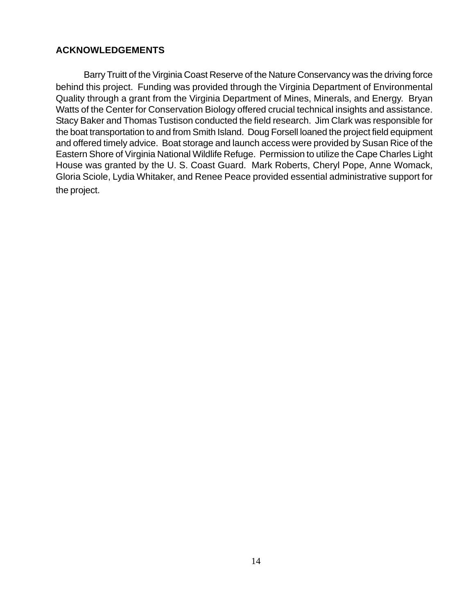#### **ACKNOWLEDGEMENTS**

Barry Truitt of the Virginia Coast Reserve of the Nature Conservancy was the driving force behind this project. Funding was provided through the Virginia Department of Environmental Quality through a grant from the Virginia Department of Mines, Minerals, and Energy. Bryan Watts of the Center for Conservation Biology offered crucial technical insights and assistance. Stacy Baker and Thomas Tustison conducted the field research. Jim Clark was responsible for the boat transportation to and from Smith Island. Doug Forsell loaned the project field equipment and offered timely advice. Boat storage and launch access were provided by Susan Rice of the Eastern Shore of Virginia National Wildlife Refuge. Permission to utilize the Cape Charles Light House was granted by the U. S. Coast Guard. Mark Roberts, Cheryl Pope, Anne Womack, Gloria Sciole, Lydia Whitaker, and Renee Peace provided essential administrative support for the project.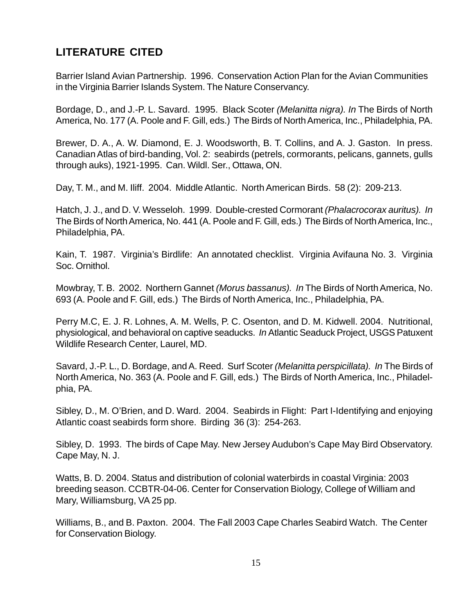## **LITERATURE CITED**

Barrier Island Avian Partnership. 1996. Conservation Action Plan for the Avian Communities in the Virginia Barrier Islands System. The Nature Conservancy.

Bordage, D., and J.-P. L. Savard. 1995. Black Scoter *(Melanitta nigra). In* The Birds of North America, No. 177 (A. Poole and F. Gill, eds.) The Birds of North America, Inc., Philadelphia, PA.

Brewer, D. A., A. W. Diamond, E. J. Woodsworth, B. T. Collins, and A. J. Gaston. In press. Canadian Atlas of bird-banding, Vol. 2: seabirds (petrels, cormorants, pelicans, gannets, gulls through auks), 1921-1995. Can. Wildl. Ser., Ottawa, ON.

Day, T. M., and M. Iliff. 2004. Middle Atlantic. North American Birds. 58 (2): 209-213.

Hatch, J. J., and D. V. Wesseloh. 1999. Double-crested Cormorant *(Phalacrocorax auritus). In* The Birds of North America, No. 441 (A. Poole and F. Gill, eds.) The Birds of North America, Inc., Philadelphia, PA.

Kain, T. 1987. Virginia's Birdlife: An annotated checklist. Virginia Avifauna No. 3. Virginia Soc. Ornithol.

Mowbray, T. B. 2002. Northern Gannet *(Morus bassanus). In* The Birds of North America, No. 693 (A. Poole and F. Gill, eds.) The Birds of North America, Inc., Philadelphia, PA.

Perry M.C, E. J. R. Lohnes, A. M. Wells, P. C. Osenton, and D. M. Kidwell. 2004. Nutritional, physiological, and behavioral on captive seaducks. *In* Atlantic Seaduck Project, USGS Patuxent Wildlife Research Center, Laurel, MD.

Savard, J.-P. L., D. Bordage, and A. Reed. Surf Scoter *(Melanitta perspicillata). In* The Birds of North America, No. 363 (A. Poole and F. Gill, eds.) The Birds of North America, Inc., Philadelphia, PA.

Sibley, D., M. O'Brien, and D. Ward. 2004. Seabirds in Flight: Part I-Identifying and enjoying Atlantic coast seabirds form shore. Birding 36 (3): 254-263.

Sibley, D. 1993. The birds of Cape May. New Jersey Audubon's Cape May Bird Observatory. Cape May, N. J.

Watts, B. D. 2004. Status and distribution of colonial waterbirds in coastal Virginia: 2003 breeding season. CCBTR-04-06. Center for Conservation Biology, College of William and Mary, Williamsburg, VA 25 pp.

Williams, B., and B. Paxton. 2004. The Fall 2003 Cape Charles Seabird Watch. The Center for Conservation Biology.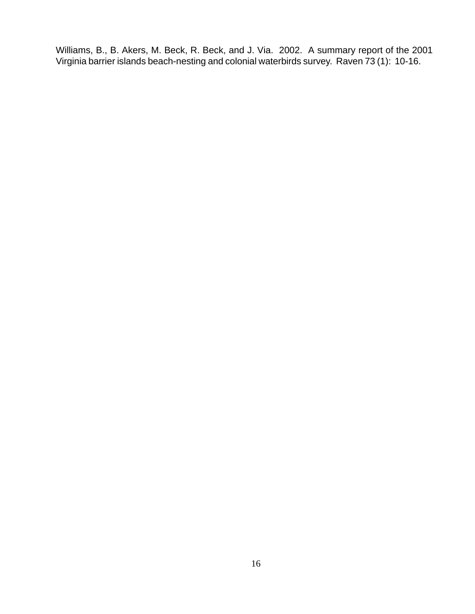Williams, B., B. Akers, M. Beck, R. Beck, and J. Via. 2002. A summary report of the 2001 Virginia barrier islands beach-nesting and colonial waterbirds survey. Raven 73 (1): 10-16.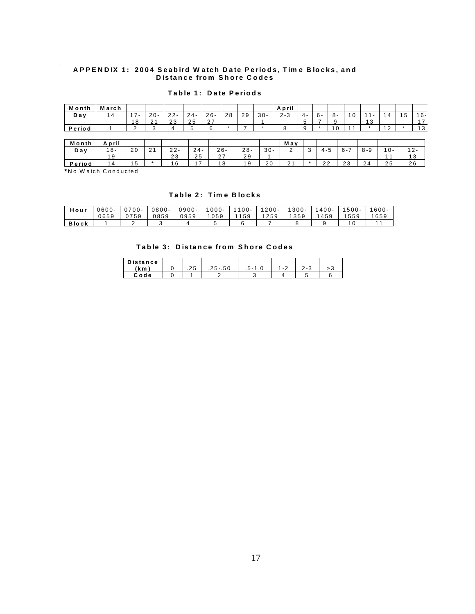#### **A PPEN DIX 1: 2004 Seabird W atch Date Periods, Tim e B locks, and D istance from Shore C odes**

#### **Table 1: Date Periods**

| Month  | March |               |                    |        |        |                             |    |    |        | April   |            |       |                           |    |        |        |
|--------|-------|---------------|--------------------|--------|--------|-----------------------------|----|----|--------|---------|------------|-------|---------------------------|----|--------|--------|
| Day    | 4     | $\sim$ $\sim$ | $20 -$             | $22 -$ | $24 -$ | $26 -$                      | 28 | 29 | $30 -$ | $2 - 3$ | $\Delta$ - | $6 -$ | $\Omega$<br>$\sim$ -<br>ັ |    | -<br>5 | $16 -$ |
|        |       | 18            | $\sim$<br><u>_</u> | 23     | 25     | $\sim$ $\sim$<br><u> 21</u> |    |    |        |         | $\cdot$    | -     |                           | 13 |        |        |
| Period |       |               |                    |        |        | ຨ                           |    |    |        |         |            |       | $\Omega$                  |    |        | 1 2    |

| Month  | April |    |                       |                 |           |                      |                |        | May         |              |                     |         |                      |                   |
|--------|-------|----|-----------------------|-----------------|-----------|----------------------|----------------|--------|-------------|--------------|---------------------|---------|----------------------|-------------------|
| Day    | ՝ 8 - | 20 | $\sim$ $\lambda$<br>∼ | $\Omega$<br>22- | $24-$     | $26 -$               | $28 -$         | $30 -$ | -           | 4-5          | $\epsilon$<br>$n -$ | $8 - Q$ | 10-                  | $\sqrt{2}$<br>- 2 |
|        |       |    |                       | $\sim$<br>23    | つら<br>ن ∠ | $\sim$ $\rightarrow$ | 29             |        |             |              |                     |         |                      | 3                 |
| Period |       |    |                       |                 | -         | 1 R                  | 1 <sub>q</sub> | 20     | $\sim$<br>- | $\sim$<br>∠∠ | າາ<br>ں ے           | 24      | $\sim$ $\sim$<br>י י | 26                |

**\*** N o W atch C onducted

#### **Table 2: Tim e Blocks**

| Hour         | $0600 -$ | $0700 -$  | $0800 -$ | $0900 -$ | $000 -$ | $100 -$ | $1200 -$ | 300-         | $400 -$ | $500 -$ | $600 -$ |
|--------------|----------|-----------|----------|----------|---------|---------|----------|--------------|---------|---------|---------|
|              | 0659     | 0759<br>U | 0859     | 0959     | 059     | 59      | 259      | 2000<br>-359 | 459     | 559     | 1659    |
| <b>Block</b> |          |           |          |          |         |         |          |              |         |         |         |

#### **Table 3: Distance from Shore Codes**

| <b>Distance</b> |            |                    |         |                          |     |
|-----------------|------------|--------------------|---------|--------------------------|-----|
| (km             | つら<br>ں ے. | 50<br>ົ່າ –<br>ں ب | $1 - 1$ | $\overline{\phantom{a}}$ | - - |
| <b>Code</b>     |            |                    |         |                          |     |